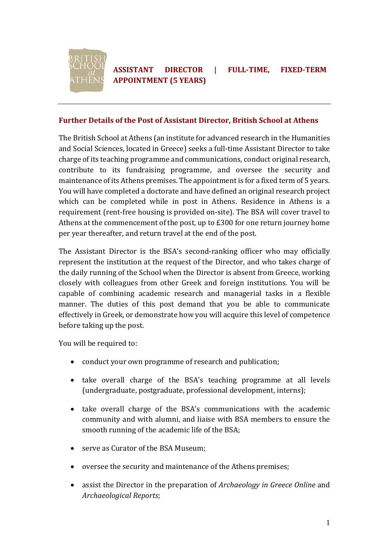

#### **Further Details of the Post of Assistant Director, British School at Athens**

The British School at Athens (an institute for advanced research in the Humanities and Social Sciences, located in Greece) seeks a full-time Assistant Director to take charge of its teaching programme and communications, conduct original research, contribute to its fundraising programme, and oversee the security and maintenance of its Athens premises. The appointment is for a fixed term of 5 years. You will have completed a doctorate and have defined an original research project which can be completed while in post in Athens. Residence in Athens is a requirement (rent-free housing is provided on-site). The BSA will cover travel to Athens at the commencement of the post, up to £300 for one return journey home per year thereafter, and return travel at the end of the post.

The Assistant Director is the BSA's second-ranking officer who may officially represent the institution at the request of the Director, and who takes charge of the daily running of the School when the Director is absent from Greece, working closely with colleagues from other Greek and foreign institutions. You will be capable of combining academic research and managerial tasks in a flexible manner. The duties of this post demand that you be able to communicate effectively in Greek, or demonstrate how you will acquire this level of competence before taking up the post.

You will be required to:

- conduct your own programme of research and publication;
- take overall charge of the BSA's teaching programme at all levels (undergraduate, postgraduate, professional development, interns);
- take overall charge of the BSA's communications with the academic community and with alumni, and liaise with BSA members to ensure the smooth running of the academic life of the BSA;
- serve as Curator of the BSA Museum:
- oversee the security and maintenance of the Athens premises;
- assist the Director in the preparation of *Archaeology in Greece Online* and *Archaeological Reports*;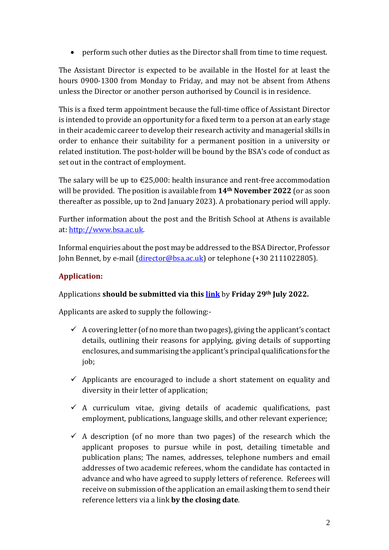• perform such other duties as the Director shall from time to time request.

The Assistant Director is expected to be available in the Hostel for at least the hours 0900-1300 from Monday to Friday, and may not be absent from Athens unless the Director or another person authorised by Council is in residence.

This is a fixed term appointment because the full-time office of Assistant Director is intended to provide an opportunity for a fixed term to a person at an early stage in their academic career to develop their research activity and managerial skills in order to enhance their suitability for a permanent position in a university or related institution. The post-holder will be bound by the BSA's code of conduct as set out in the contract of employment.

The salary will be up to  $\epsilon$ 25,000: health insurance and rent-free accommodation will be provided. The position is available from **14th November 2022** (or as soon thereafter as possible, up to 2nd January 2023). A probationary period will apply.

Further information about the post and the British School at Athens is available at[: http://www.bsa.ac.uk.](http://www.bsa.ac.uk/)

Informal enquiries about the post may be addressed to the BSA Director, Professor John Bennet, by e-mail [\(director@bsa.ac.uk\)](mailto:director@bsa.ac.uk) or telephone (+30 2111022805).

## **Application:**

## Applications **should be submitted via this [link](https://www.bsa.ac.uk/?p=18000)** by **Friday 29th July 2022.**

Applicants are asked to supply the following:-

- $\checkmark$  A covering letter (of no more than two pages), giving the applicant's contact details, outlining their reasons for applying, giving details of supporting enclosures, and summarising the applicant's principal qualifications for the job;
- $\checkmark$  Applicants are encouraged to include a short statement on equality and diversity in their letter of application;
- $\checkmark$  A curriculum vitae, giving details of academic qualifications, past employment, publications, language skills, and other relevant experience;
- $\checkmark$  A description (of no more than two pages) of the research which the applicant proposes to pursue while in post, detailing timetable and publication plans; The names, addresses, telephone numbers and email addresses of two academic referees, whom the candidate has contacted in advance and who have agreed to supply letters of reference. Referees will receive on submission of the application an email asking them to send their reference letters via a link **by the closing date**.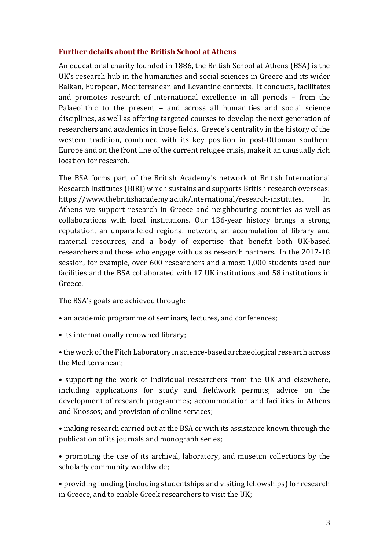#### **Further details about the British School at Athens**

An educational charity founded in 1886, the British School at Athens (BSA) is the UK's research hub in the humanities and social sciences in Greece and its wider Balkan, European, Mediterranean and Levantine contexts. It conducts, facilitates and promotes research of international excellence in all periods – from the Palaeolithic to the present – and across all humanities and social science disciplines, as well as offering targeted courses to develop the next generation of researchers and academics in those fields. Greece's centrality in the history of the western tradition, combined with its key position in post-Ottoman southern Europe and on the front line of the current refugee crisis, make it an unusually rich location for research.

The BSA forms part of the British Academy's network of British International Research Institutes (BIRI) which sustains and supports British research overseas: https://www.thebritishacademy.ac.uk/international/research-institutes. In Athens we support research in Greece and neighbouring countries as well as collaborations with local institutions. Our 136-year history brings a strong reputation, an unparalleled regional network, an accumulation of library and material resources, and a body of expertise that benefit both UK-based researchers and those who engage with us as research partners. In the 2017-18 session, for example, over 600 researchers and almost 1,000 students used our facilities and the BSA collaborated with 17 UK institutions and 58 institutions in Greece.

The BSA's goals are achieved through:

- an academic programme of seminars, lectures, and conferences;
- its internationally renowned library;
- the work of the Fitch Laboratory in science-based archaeological research across the Mediterranean;

• supporting the work of individual researchers from the UK and elsewhere, including applications for study and fieldwork permits; advice on the development of research programmes; accommodation and facilities in Athens and Knossos; and provision of online services;

• making research carried out at the BSA or with its assistance known through the publication of its journals and monograph series;

• promoting the use of its archival, laboratory, and museum collections by the scholarly community worldwide;

• providing funding (including studentships and visiting fellowships) for research in Greece, and to enable Greek researchers to visit the UK;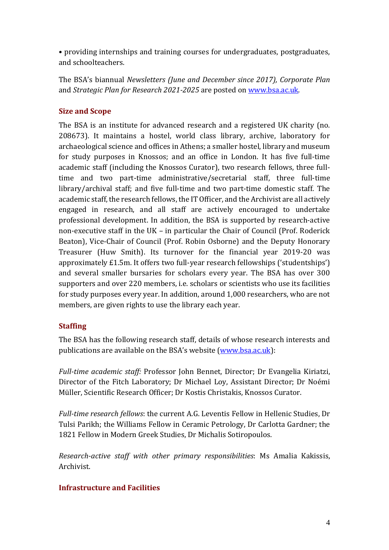• providing internships and training courses for undergraduates, postgraduates, and schoolteachers.

The BSA's biannual *Newsletters (June and December since 2017), Corporate Plan* and *Strategic Plan for Research 2021-2025* are posted on [www.bsa.ac.uk.](http://www.bsa.ac.uk/)

## **Size and Scope**

The BSA is an institute for advanced research and a registered UK charity (no. 208673). It maintains a hostel, world class library, archive, laboratory for archaeological science and offices in Athens; a smaller hostel, library and museum for study purposes in Knossos; and an office in London. It has five full-time academic staff (including the Knossos Curator), two research fellows, three fulltime and two part-time administrative/secretarial staff, three full-time library/archival staff; and five full-time and two part-time domestic staff. The academic staff, the research fellows, the IT Officer, and the Archivist are all actively engaged in research, and all staff are actively encouraged to undertake professional development. In addition, the BSA is supported by research-active non-executive staff in the UK – in particular the Chair of Council (Prof. Roderick Beaton), Vice-Chair of Council (Prof. Robin Osborne) and the Deputy Honorary Treasurer (Huw Smith). Its turnover for the financial year 2019-20 was approximately £1.5m. It offers two full-year research fellowships ('studentships') and several smaller bursaries for scholars every year. The BSA has over 300 supporters and over 220 members, i.e. scholars or scientists who use its facilities for study purposes every year. In addition, around 1,000 researchers, who are not members, are given rights to use the library each year.

## **Staffing**

The BSA has the following research staff, details of whose research interests and publications are available on the BSA's website [\(www.bsa.ac.uk\)](http://www.bsa.ac.uk/):

*Full-time academic staff:* Professor John Bennet, Director; Dr Evangelia Kiriatzi, Director of the Fitch Laboratory; Dr Michael Loy, Assistant Director; Dr Noémi Müller, Scientific Research Officer; Dr Kostis Christakis, Knossos Curator.

*Full-time research fellows*: the current A.G. Leventis Fellow in Hellenic Studies, Dr Tulsi Parikh; the Williams Fellow in Ceramic Petrology, Dr Carlotta Gardner; the 1821 Fellow in Modern Greek Studies, Dr Michalis Sotiropoulos.

*Research-active staff with other primary responsibilities*: Ms Amalia Kakissis, Archivist.

# **Infrastructure and Facilities**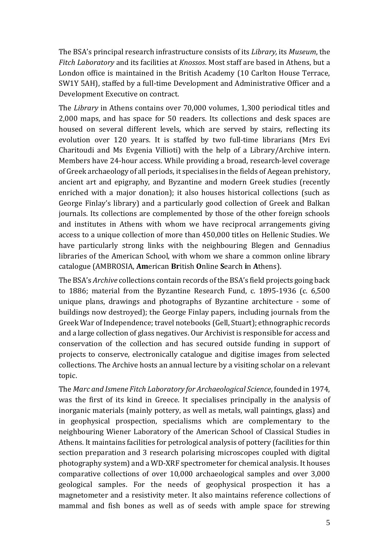The BSA's principal research infrastructure consists of its *Library,* its *Museum*, the *Fitch Laboratory* and its facilities at *Knossos*. Most staff are based in Athens, but a London office is maintained in the British Academy (10 Carlton House Terrace, SW1Y 5AH), staffed by a full-time Development and Administrative Officer and a Development Executive on contract.

The *Library* in Athens contains over 70,000 volumes, 1,300 periodical titles and 2,000 maps, and has space for 50 readers. Its collections and desk spaces are housed on several different levels, which are served by stairs, reflecting its evolution over 120 years. It is staffed by two full-time librarians (Mrs Evi Charitoudi and Ms Evgenia Villioti) with the help of a Library/Archive intern. Members have 24-hour access. While providing a broad, research-level coverage of Greek archaeology of all periods, it specialises in the fields of Aegean prehistory, ancient art and epigraphy, and Byzantine and modern Greek studies (recently enriched with a major donation); it also houses historical collections (such as George Finlay's library) and a particularly good collection of Greek and Balkan journals. Its collections are complemented by those of the other foreign schools and institutes in Athens with whom we have reciprocal arrangements giving access to a unique collection of more than 450,000 titles on Hellenic Studies. We have particularly strong links with the neighbouring Blegen and Gennadius libraries of the American School, with whom we share a common online library catalogue (AMBROSIA, **Am**erican **Br**itish **O**nline **S**earch **i**n **A**thens).

The BSA's *Archive* collections contain records of the BSA's field projects going back to 1886; material from the Byzantine Research Fund, c. 1895-1936 (c. 6,500 unique plans, drawings and photographs of Byzantine architecture - some of buildings now destroyed); the George Finlay papers, including journals from the Greek War of Independence; travel notebooks (Gell, Stuart); ethnographic records and a large collection of glass negatives. Our Archivist is responsible for access and conservation of the collection and has secured outside funding in support of projects to conserve, electronically catalogue and digitise images from selected collections. The Archive hosts an annual lecture by a visiting scholar on a relevant topic.

The *Marc and Ismene Fitch Laboratory for Archaeological Science*, founded in 1974, was the first of its kind in Greece. It specialises principally in the analysis of inorganic materials (mainly pottery, as well as metals, wall paintings, glass) and in geophysical prospection, specialisms which are complementary to the neighbouring Wiener Laboratory of the American School of Classical Studies in Athens. It maintains facilities for petrological analysis of pottery (facilities for thin section preparation and 3 research polarising microscopes coupled with digital photography system) and a WD-XRF spectrometer for chemical analysis. It houses comparative collections of over 10,000 archaeological samples and over 3,000 geological samples. For the needs of geophysical prospection it has a magnetometer and a resistivity meter. It also maintains reference collections of mammal and fish bones as well as of seeds with ample space for strewing